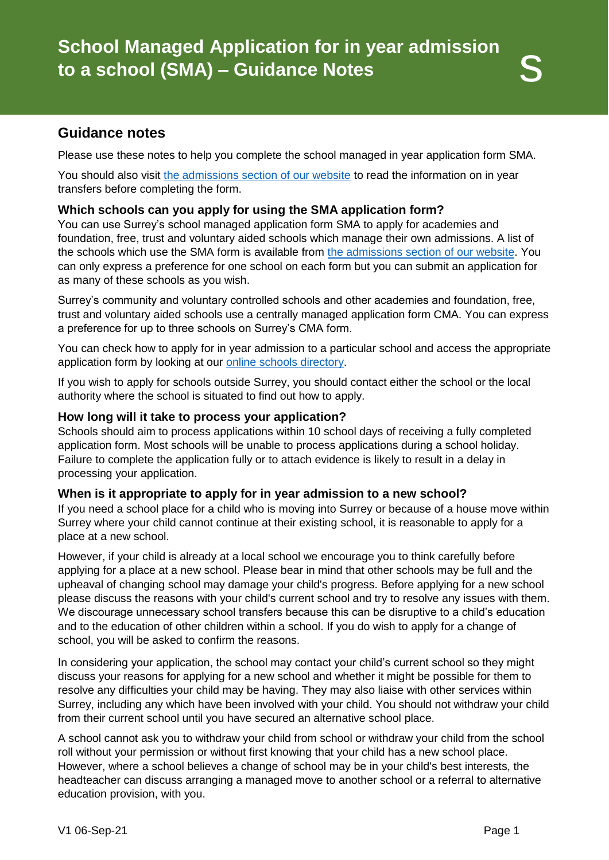Please use these notes to help you complete the school managed in year application form SMA.

You should also visit [the admissions section of our website](http://www.surreycc.gov.uk/admissions) to read the information on in year transfers before completing the form.

# **Which schools can you apply for using the SMA application form?**

You can use Surrey's school managed application form SMA to apply for academies and foundation, free, trust and voluntary aided schools which manage their own admissions. A list of the schools which use the SMA form is available from [the admissions section of our website.](http://www.surreycc.gov.uk/admissions) You can only express a preference for one school on each form but you can submit an application for as many of these schools as you wish.

Surrey's community and voluntary controlled schools and other academies and foundation, free, trust and voluntary aided schools use a centrally managed application form CMA. You can express a preference for up to three schools on Surrey's CMA form.

You can check how to apply for in year admission to a particular school and access the appropriate application form by looking at our [online schools directory.](https://surreycc.gov.uk/schools)

If you wish to apply for schools outside Surrey, you should contact either the school or the local authority where the school is situated to find out how to apply.

### **How long will it take to process your application?**

Schools should aim to process applications within 10 school days of receiving a fully completed application form. Most schools will be unable to process applications during a school holiday. Failure to complete the application fully or to attach evidence is likely to result in a delay in processing your application.

### **When is it appropriate to apply for in year admission to a new school?**

If you need a school place for a child who is moving into Surrey or because of a house move within Surrey where your child cannot continue at their existing school, it is reasonable to apply for a place at a new school.

However, if your child is already at a local school we encourage you to think carefully before applying for a place at a new school. Please bear in mind that other schools may be full and the upheaval of changing school may damage your child's progress. Before applying for a new school please discuss the reasons with your child's current school and try to resolve any issues with them. We discourage unnecessary school transfers because this can be disruptive to a child's education and to the education of other children within a school. If you do wish to apply for a change of school, you will be asked to confirm the reasons.

In considering your application, the school may contact your child's current school so they might discuss your reasons for applying for a new school and whether it might be possible for them to resolve any difficulties your child may be having. They may also liaise with other services within Surrey, including any which have been involved with your child. You should not withdraw your child from their current school until you have secured an alternative school place.

A school cannot ask you to withdraw your child from school or withdraw your child from the school roll without your permission or without first knowing that your child has a new school place. However, where a school believes a change of school may be in your child's best interests, the headteacher can discuss arranging a managed move to another school or a referral to alternative education provision, with you.

s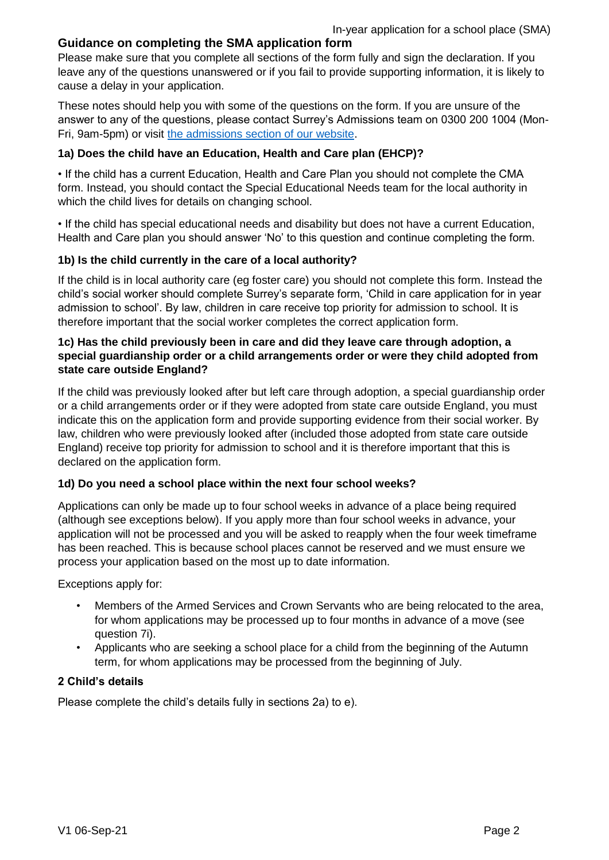# **Guidance on completing the SMA application form**

Please make sure that you complete all sections of the form fully and sign the declaration. If you leave any of the questions unanswered or if you fail to provide supporting information, it is likely to cause a delay in your application.

These notes should help you with some of the questions on the form. If you are unsure of the answer to any of the questions, please contact Surrey's Admissions team on 0300 200 1004 (Mon-Fri, 9am-5pm) or visit [the admissions section of our website.](http://www.surreycc.gov.uk/admissions)

### **1a) Does the child have an Education, Health and Care plan (EHCP)?**

• If the child has a current Education, Health and Care Plan you should not complete the CMA form. Instead, you should contact the Special Educational Needs team for the local authority in which the child lives for details on changing school.

• If the child has special educational needs and disability but does not have a current Education, Health and Care plan you should answer 'No' to this question and continue completing the form.

## **1b) Is the child currently in the care of a local authority?**

If the child is in local authority care (eg foster care) you should not complete this form. Instead the child's social worker should complete Surrey's separate form, 'Child in care application for in year admission to school'. By law, children in care receive top priority for admission to school. It is therefore important that the social worker completes the correct application form.

### **1c) Has the child previously been in care and did they leave care through adoption, a special guardianship order or a child arrangements order or were they child adopted from state care outside England?**

If the child was previously looked after but left care through adoption, a special guardianship order or a child arrangements order or if they were adopted from state care outside England, you must indicate this on the application form and provide supporting evidence from their social worker. By law, children who were previously looked after (included those adopted from state care outside England) receive top priority for admission to school and it is therefore important that this is declared on the application form.

# **1d) Do you need a school place within the next four school weeks?**

Applications can only be made up to four school weeks in advance of a place being required (although see exceptions below). If you apply more than four school weeks in advance, your application will not be processed and you will be asked to reapply when the four week timeframe has been reached. This is because school places cannot be reserved and we must ensure we process your application based on the most up to date information.

Exceptions apply for:

- Members of the Armed Services and Crown Servants who are being relocated to the area, for whom applications may be processed up to four months in advance of a move (see question 7i).
- Applicants who are seeking a school place for a child from the beginning of the Autumn term, for whom applications may be processed from the beginning of July.

### **2 Child's details**

Please complete the child's details fully in sections 2a) to e).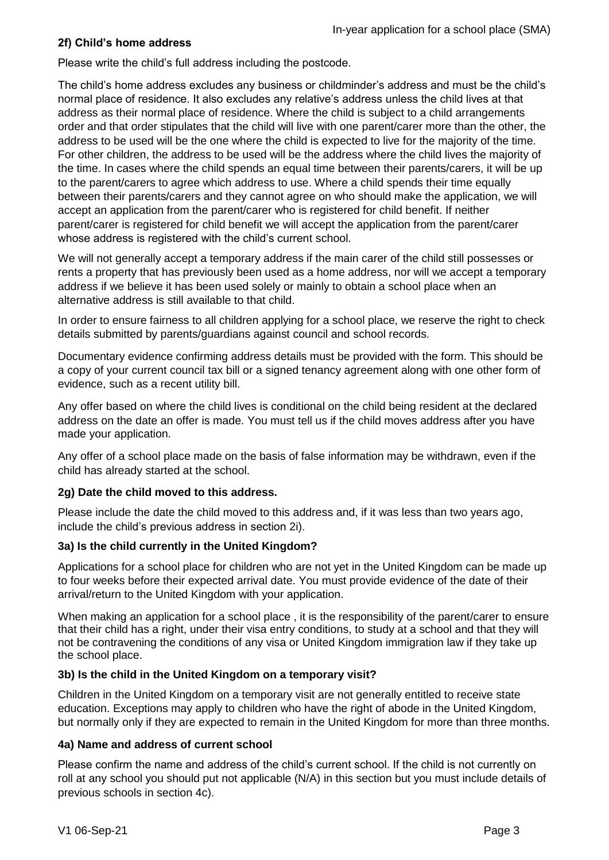# **2f) Child's home address**

Please write the child's full address including the postcode.

The child's home address excludes any business or childminder's address and must be the child's normal place of residence. It also excludes any relative's address unless the child lives at that address as their normal place of residence. Where the child is subject to a child arrangements order and that order stipulates that the child will live with one parent/carer more than the other, the address to be used will be the one where the child is expected to live for the majority of the time. For other children, the address to be used will be the address where the child lives the majority of the time. In cases where the child spends an equal time between their parents/carers, it will be up to the parent/carers to agree which address to use. Where a child spends their time equally between their parents/carers and they cannot agree on who should make the application, we will accept an application from the parent/carer who is registered for child benefit. If neither parent/carer is registered for child benefit we will accept the application from the parent/carer whose address is registered with the child's current school.

We will not generally accept a temporary address if the main carer of the child still possesses or rents a property that has previously been used as a home address, nor will we accept a temporary address if we believe it has been used solely or mainly to obtain a school place when an alternative address is still available to that child.

In order to ensure fairness to all children applying for a school place, we reserve the right to check details submitted by parents/guardians against council and school records.

Documentary evidence confirming address details must be provided with the form. This should be a copy of your current council tax bill or a signed tenancy agreement along with one other form of evidence, such as a recent utility bill.

Any offer based on where the child lives is conditional on the child being resident at the declared address on the date an offer is made. You must tell us if the child moves address after you have made your application.

Any offer of a school place made on the basis of false information may be withdrawn, even if the child has already started at the school.

# **2g) Date the child moved to this address.**

Please include the date the child moved to this address and, if it was less than two years ago, include the child's previous address in section 2i).

# **3a) Is the child currently in the United Kingdom?**

Applications for a school place for children who are not yet in the United Kingdom can be made up to four weeks before their expected arrival date. You must provide evidence of the date of their arrival/return to the United Kingdom with your application.

When making an application for a school place , it is the responsibility of the parent/carer to ensure that their child has a right, under their visa entry conditions, to study at a school and that they will not be contravening the conditions of any visa or United Kingdom immigration law if they take up the school place.

### **3b) Is the child in the United Kingdom on a temporary visit?**

Children in the United Kingdom on a temporary visit are not generally entitled to receive state education. Exceptions may apply to children who have the right of abode in the United Kingdom, but normally only if they are expected to remain in the United Kingdom for more than three months.

### **4a) Name and address of current school**

Please confirm the name and address of the child's current school. If the child is not currently on roll at any school you should put not applicable (N/A) in this section but you must include details of previous schools in section 4c).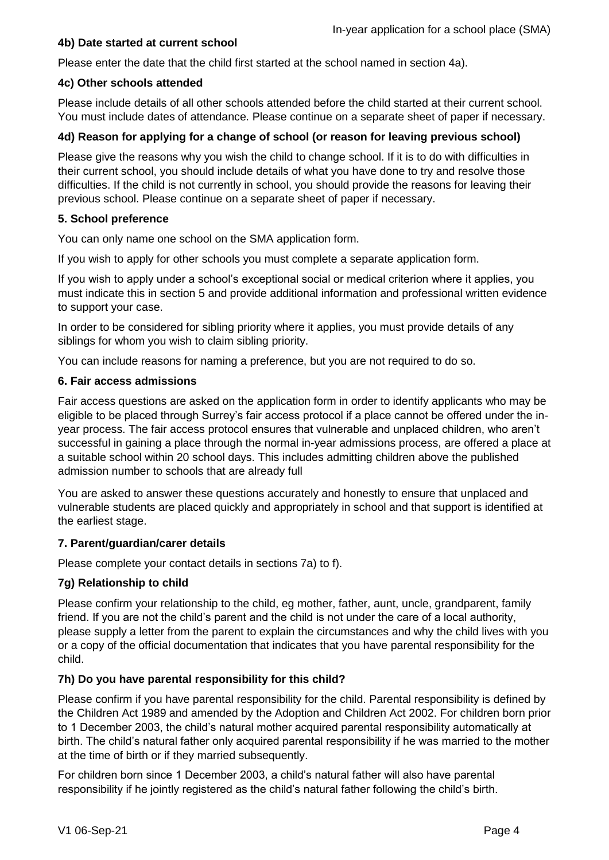## **4b) Date started at current school**

Please enter the date that the child first started at the school named in section 4a).

### **4c) Other schools attended**

Please include details of all other schools attended before the child started at their current school. You must include dates of attendance. Please continue on a separate sheet of paper if necessary.

# **4d) Reason for applying for a change of school (or reason for leaving previous school)**

Please give the reasons why you wish the child to change school. If it is to do with difficulties in their current school, you should include details of what you have done to try and resolve those difficulties. If the child is not currently in school, you should provide the reasons for leaving their previous school. Please continue on a separate sheet of paper if necessary.

## **5. School preference**

You can only name one school on the SMA application form.

If you wish to apply for other schools you must complete a separate application form.

If you wish to apply under a school's exceptional social or medical criterion where it applies, you must indicate this in section 5 and provide additional information and professional written evidence to support your case.

In order to be considered for sibling priority where it applies, you must provide details of any siblings for whom you wish to claim sibling priority.

You can include reasons for naming a preference, but you are not required to do so.

## **6. Fair access admissions**

Fair access questions are asked on the application form in order to identify applicants who may be eligible to be placed through Surrey's fair access protocol if a place cannot be offered under the inyear process. The fair access protocol ensures that vulnerable and unplaced children, who aren't successful in gaining a place through the normal in-year admissions process, are offered a place at a suitable school within 20 school days. This includes admitting children above the published admission number to schools that are already full

You are asked to answer these questions accurately and honestly to ensure that unplaced and vulnerable students are placed quickly and appropriately in school and that support is identified at the earliest stage.

### **7. Parent/guardian/carer details**

Please complete your contact details in sections 7a) to f).

# **7g) Relationship to child**

Please confirm your relationship to the child, eg mother, father, aunt, uncle, grandparent, family friend. If you are not the child's parent and the child is not under the care of a local authority, please supply a letter from the parent to explain the circumstances and why the child lives with you or a copy of the official documentation that indicates that you have parental responsibility for the child.

# **7h) Do you have parental responsibility for this child?**

Please confirm if you have parental responsibility for the child. Parental responsibility is defined by the Children Act 1989 and amended by the Adoption and Children Act 2002. For children born prior to 1 December 2003, the child's natural mother acquired parental responsibility automatically at birth. The child's natural father only acquired parental responsibility if he was married to the mother at the time of birth or if they married subsequently.

For children born since 1 December 2003, a child's natural father will also have parental responsibility if he jointly registered as the child's natural father following the child's birth.